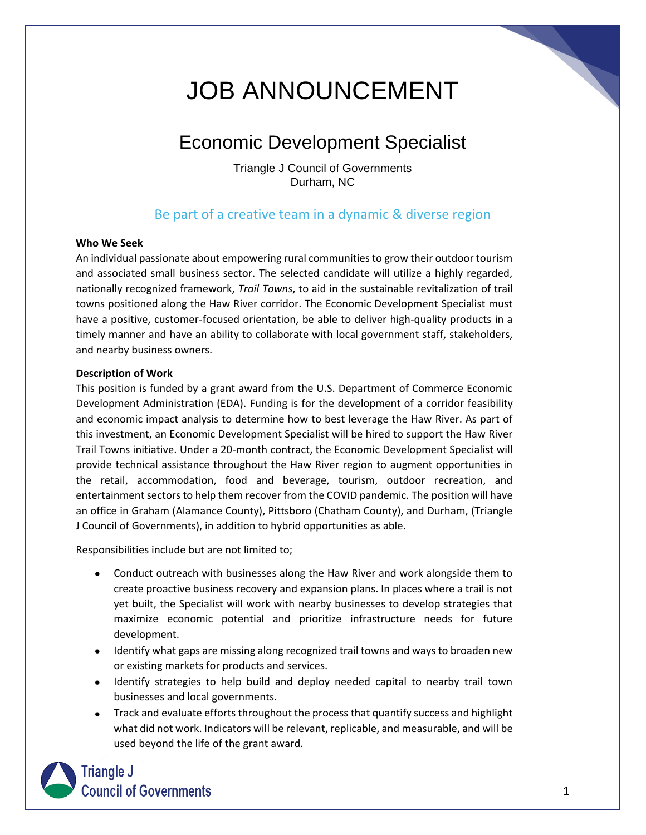# JOB ANNOUNCEMENT

## Economic Development Specialist

Triangle J Council of Governments Durham, NC

### Be part of a creative team in a dynamic & diverse region

#### **Who We Seek**

An individual passionate about empowering rural communities to grow their outdoor tourism and associated small business sector. The selected candidate will utilize a highly regarded, nationally recognized framework, *Trail Towns*, to aid in the sustainable revitalization of trail towns positioned along the Haw River corridor. The Economic Development Specialist must have a positive, customer-focused orientation, be able to deliver high-quality products in a timely manner and have an ability to collaborate with local government staff, stakeholders, and nearby business owners.

#### **Description of Work**

This position is funded by a grant award from the U.S. Department of Commerce Economic Development Administration (EDA). Funding is for the development of a corridor feasibility and economic impact analysis to determine how to best leverage the Haw River. As part of this investment, an Economic Development Specialist will be hired to support the Haw River Trail Towns initiative. Under a 20-month contract, the Economic Development Specialist will provide technical assistance throughout the Haw River region to augment opportunities in the retail, accommodation, food and beverage, tourism, outdoor recreation, and entertainment sectors to help them recover from the COVID pandemic. The position will have an office in Graham (Alamance County), Pittsboro (Chatham County), and Durham, (Triangle J Council of Governments), in addition to hybrid opportunities as able.

Responsibilities include but are not limited to;

- Conduct outreach with businesses along the Haw River and work alongside them to create proactive business recovery and expansion plans. In places where a trail is not yet built, the Specialist will work with nearby businesses to develop strategies that maximize economic potential and prioritize infrastructure needs for future development.
- Identify what gaps are missing along recognized trail towns and ways to broaden new or existing markets for products and services.
- Identify strategies to help build and deploy needed capital to nearby trail town businesses and local governments.
- Track and evaluate efforts throughout the process that quantify success and highlight what did not work. Indicators will be relevant, replicable, and measurable, and will be used beyond the life of the grant award.

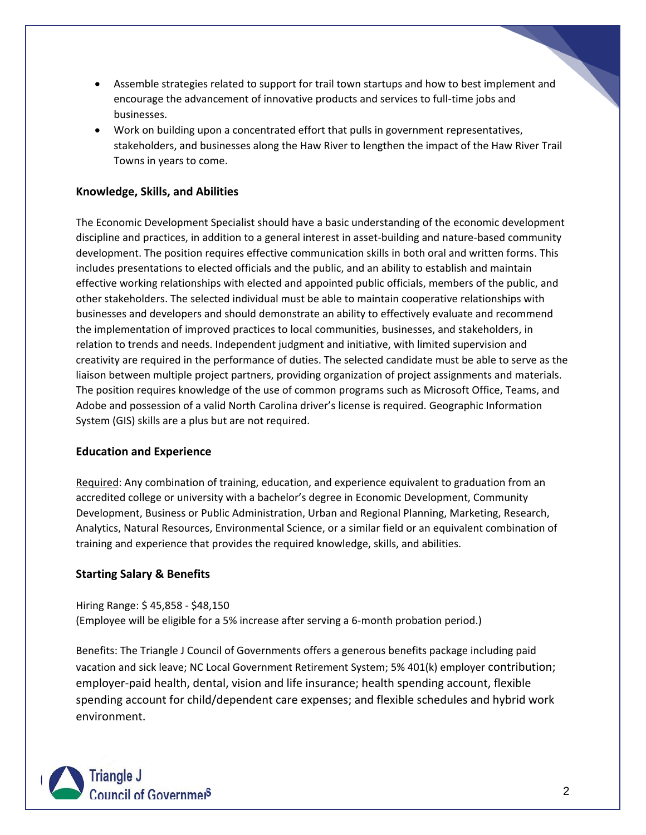- Assemble strategies related to support for trail town startups and how to best implement and encourage the advancement of innovative products and services to full-time jobs and businesses.
- Work on building upon a concentrated effort that pulls in government representatives, stakeholders, and businesses along the Haw River to lengthen the impact of the Haw River Trail Towns in years to come.

#### **Knowledge, Skills, and Abilities**

The Economic Development Specialist should have a basic understanding of the economic development discipline and practices, in addition to a general interest in asset-building and nature-based community development. The position requires effective communication skills in both oral and written forms. This includes presentations to elected officials and the public, and an ability to establish and maintain effective working relationships with elected and appointed public officials, members of the public, and other stakeholders. The selected individual must be able to maintain cooperative relationships with businesses and developers and should demonstrate an ability to effectively evaluate and recommend the implementation of improved practices to local communities, businesses, and stakeholders, in relation to trends and needs. Independent judgment and initiative, with limited supervision and creativity are required in the performance of duties. The selected candidate must be able to serve as the liaison between multiple project partners, providing organization of project assignments and materials. The position requires knowledge of the use of common programs such as Microsoft Office, Teams, and Adobe and possession of a valid North Carolina driver's license is required. Geographic Information System (GIS) skills are a plus but are not required.

#### **Education and Experience**

Required: Any combination of training, education, and experience equivalent to graduation from an accredited college or university with a bachelor's degree in Economic Development, Community Development, Business or Public Administration, Urban and Regional Planning, Marketing, Research, Analytics, Natural Resources, Environmental Science, or a similar field or an equivalent combination of training and experience that provides the required knowledge, skills, and abilities.

#### **Starting Salary & Benefits**

Hiring Range: \$ 45,858 - \$48,150 (Employee will be eligible for a 5% increase after serving a 6-month probation period.)

Benefits: The Triangle J Council of Governments offers a generous benefits package including paid vacation and sick leave; NC Local Government Retirement System; 5% 401(k) employer contribution; employer-paid health, dental, vision and life insurance; health spending account, flexible spending account for child/dependent care expenses; and flexible schedules and hybrid work environment.